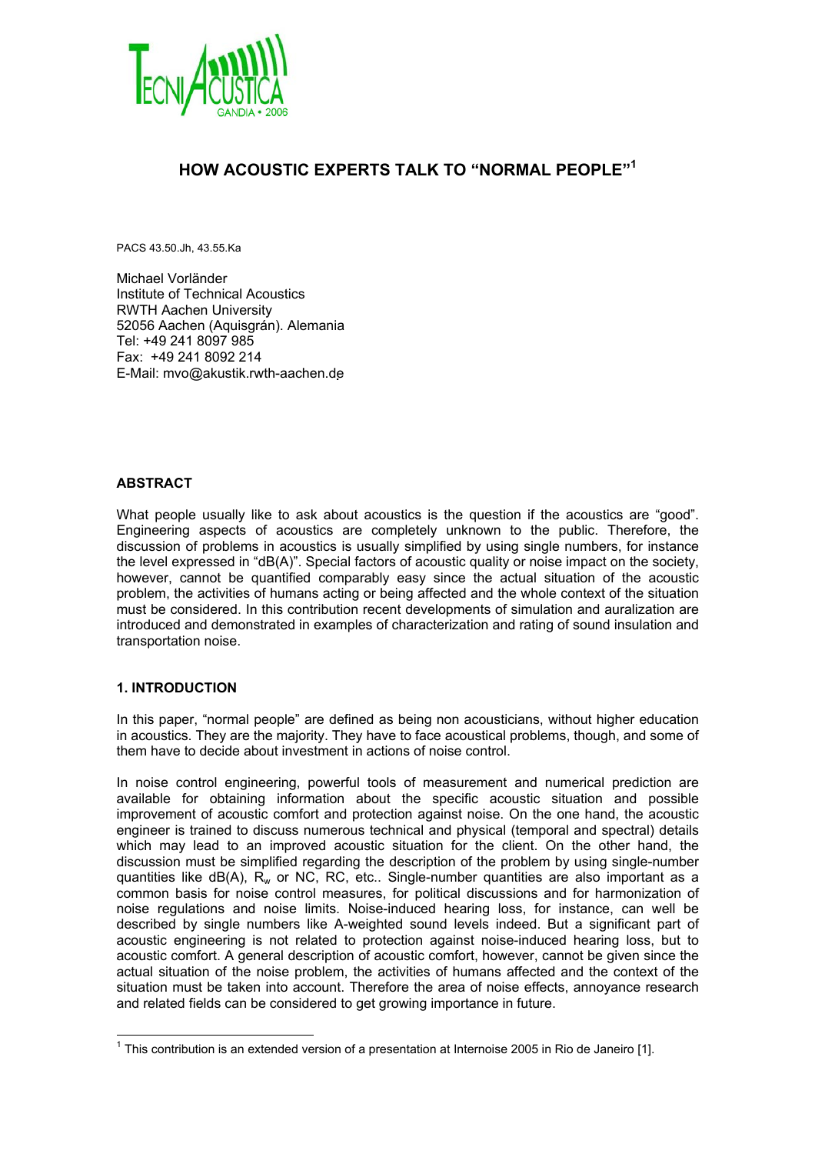

# **HOW ACOUSTIC EXPERTS TALK TO "NORMAL PEOPLE"1**

PACS 43.50.Jh, 43.55.Ka

Michael Vorländer Institute of Technical Acoustics RWTH Aachen University 52056 Aachen (Aquisgrán). Alemania Tel: +49 241 8097 985 Fax: +49 241 8092 214 E-Mail: mvo@akustik.rwth-aachen.de

# **ABSTRACT**

What people usually like to ask about acoustics is the question if the acoustics are "good". Engineering aspects of acoustics are completely unknown to the public. Therefore, the discussion of problems in acoustics is usually simplified by using single numbers, for instance the level expressed in "dB(A)". Special factors of acoustic quality or noise impact on the society, however, cannot be quantified comparably easy since the actual situation of the acoustic problem, the activities of humans acting or being affected and the whole context of the situation must be considered. In this contribution recent developments of simulation and auralization are introduced and demonstrated in examples of characterization and rating of sound insulation and transportation noise.

#### **1. INTRODUCTION**

 $\overline{a}$ 

In this paper, "normal people" are defined as being non acousticians, without higher education in acoustics. They are the majority. They have to face acoustical problems, though, and some of them have to decide about investment in actions of noise control.

In noise control engineering, powerful tools of measurement and numerical prediction are available for obtaining information about the specific acoustic situation and possible improvement of acoustic comfort and protection against noise. On the one hand, the acoustic engineer is trained to discuss numerous technical and physical (temporal and spectral) details which may lead to an improved acoustic situation for the client. On the other hand, the discussion must be simplified regarding the description of the problem by using single-number quantities like  $dB(A)$ ,  $R_w$  or NC, RC, etc.. Single-number quantities are also important as a common basis for noise control measures, for political discussions and for harmonization of noise regulations and noise limits. Noise-induced hearing loss, for instance, can well be described by single numbers like A-weighted sound levels indeed. But a significant part of acoustic engineering is not related to protection against noise-induced hearing loss, but to acoustic comfort. A general description of acoustic comfort, however, cannot be given since the actual situation of the noise problem, the activities of humans affected and the context of the situation must be taken into account. Therefore the area of noise effects, annoyance research and related fields can be considered to get growing importance in future.

<sup>&</sup>lt;sup>1</sup> This contribution is an extended version of a presentation at Internoise 2005 in Rio de Janeiro [1].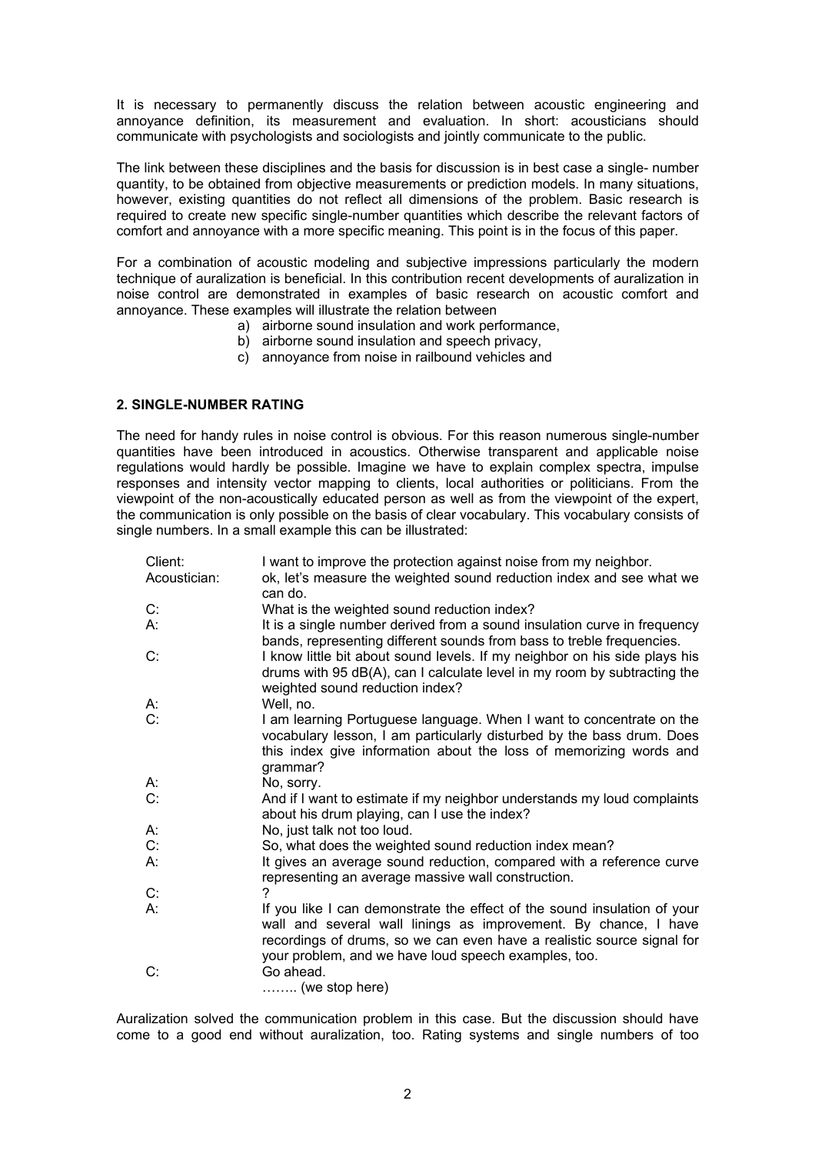It is necessary to permanently discuss the relation between acoustic engineering and annoyance definition, its measurement and evaluation. In short: acousticians should communicate with psychologists and sociologists and jointly communicate to the public.

The link between these disciplines and the basis for discussion is in best case a single- number quantity, to be obtained from objective measurements or prediction models. In many situations, however, existing quantities do not reflect all dimensions of the problem. Basic research is required to create new specific single-number quantities which describe the relevant factors of comfort and annoyance with a more specific meaning. This point is in the focus of this paper.

For a combination of acoustic modeling and subjective impressions particularly the modern technique of auralization is beneficial. In this contribution recent developments of auralization in noise control are demonstrated in examples of basic research on acoustic comfort and annoyance. These examples will illustrate the relation between

- a) airborne sound insulation and work performance,
- b) airborne sound insulation and speech privacy,
- c) annoyance from noise in railbound vehicles and

# **2. SINGLE-NUMBER RATING**

The need for handy rules in noise control is obvious. For this reason numerous single-number quantities have been introduced in acoustics. Otherwise transparent and applicable noise regulations would hardly be possible. Imagine we have to explain complex spectra, impulse responses and intensity vector mapping to clients, local authorities or politicians. From the viewpoint of the non-acoustically educated person as well as from the viewpoint of the expert, the communication is only possible on the basis of clear vocabulary. This vocabulary consists of single numbers. In a small example this can be illustrated:

| Client:      | I want to improve the protection against noise from my neighbor.                                                                                                                                                                                                              |
|--------------|-------------------------------------------------------------------------------------------------------------------------------------------------------------------------------------------------------------------------------------------------------------------------------|
| Acoustician: | ok, let's measure the weighted sound reduction index and see what we<br>can do.                                                                                                                                                                                               |
| C.           | What is the weighted sound reduction index?                                                                                                                                                                                                                                   |
| А:           | It is a single number derived from a sound insulation curve in frequency<br>bands, representing different sounds from bass to treble frequencies.                                                                                                                             |
| C:           | I know little bit about sound levels. If my neighbor on his side plays his<br>drums with 95 dB(A), can I calculate level in my room by subtracting the<br>weighted sound reduction index?                                                                                     |
| А.           | Well, no.                                                                                                                                                                                                                                                                     |
| C:           | I am learning Portuguese language. When I want to concentrate on the<br>vocabulary lesson, I am particularly disturbed by the bass drum. Does<br>this index give information about the loss of memorizing words and<br>grammar?                                               |
| А.           | No, sorry.                                                                                                                                                                                                                                                                    |
| С.           | And if I want to estimate if my neighbor understands my loud complaints<br>about his drum playing, can I use the index?                                                                                                                                                       |
| А.           | No, just talk not too loud.                                                                                                                                                                                                                                                   |
| C:           | So, what does the weighted sound reduction index mean?                                                                                                                                                                                                                        |
| А.           | It gives an average sound reduction, compared with a reference curve<br>representing an average massive wall construction.                                                                                                                                                    |
| C:           |                                                                                                                                                                                                                                                                               |
| А:           | If you like I can demonstrate the effect of the sound insulation of your<br>wall and several wall linings as improvement. By chance, I have<br>recordings of drums, so we can even have a realistic source signal for<br>your problem, and we have loud speech examples, too. |
| C:           | Go ahead.<br>$\ldots$ (we stop here)                                                                                                                                                                                                                                          |

Auralization solved the communication problem in this case. But the discussion should have come to a good end without auralization, too. Rating systems and single numbers of too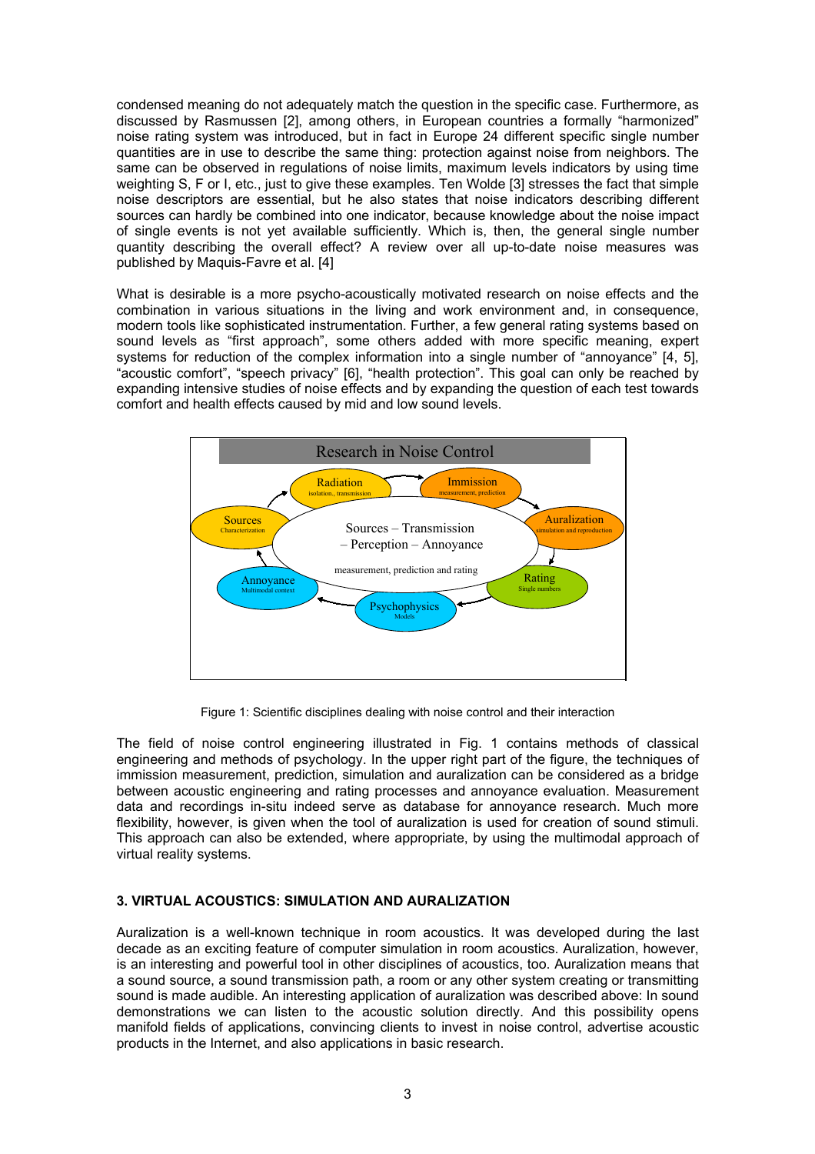condensed meaning do not adequately match the question in the specific case. Furthermore, as discussed by Rasmussen [2], among others, in European countries a formally "harmonized" noise rating system was introduced, but in fact in Europe 24 different specific single number quantities are in use to describe the same thing: protection against noise from neighbors. The same can be observed in regulations of noise limits, maximum levels indicators by using time weighting S, F or I, etc., just to give these examples. Ten Wolde [3] stresses the fact that simple noise descriptors are essential, but he also states that noise indicators describing different sources can hardly be combined into one indicator, because knowledge about the noise impact of single events is not yet available sufficiently. Which is, then, the general single number quantity describing the overall effect? A review over all up-to-date noise measures was published by Maquis-Favre et al. [4]

What is desirable is a more psycho-acoustically motivated research on noise effects and the combination in various situations in the living and work environment and, in consequence, modern tools like sophisticated instrumentation. Further, a few general rating systems based on sound levels as "first approach", some others added with more specific meaning, expert systems for reduction of the complex information into a single number of "annoyance" [4, 5], "acoustic comfort", "speech privacy" [6], "health protection". This goal can only be reached by expanding intensive studies of noise effects and by expanding the question of each test towards comfort and health effects caused by mid and low sound levels.



Figure 1: Scientific disciplines dealing with noise control and their interaction

The field of noise control engineering illustrated in Fig. 1 contains methods of classical engineering and methods of psychology. In the upper right part of the figure, the techniques of immission measurement, prediction, simulation and auralization can be considered as a bridge between acoustic engineering and rating processes and annoyance evaluation. Measurement data and recordings in-situ indeed serve as database for annoyance research. Much more flexibility, however, is given when the tool of auralization is used for creation of sound stimuli. This approach can also be extended, where appropriate, by using the multimodal approach of virtual reality systems.

# **3. VIRTUAL ACOUSTICS: SIMULATION AND AURALIZATION**

Auralization is a well-known technique in room acoustics. It was developed during the last decade as an exciting feature of computer simulation in room acoustics. Auralization, however, is an interesting and powerful tool in other disciplines of acoustics, too. Auralization means that a sound source, a sound transmission path, a room or any other system creating or transmitting sound is made audible. An interesting application of auralization was described above: In sound demonstrations we can listen to the acoustic solution directly. And this possibility opens manifold fields of applications, convincing clients to invest in noise control, advertise acoustic products in the Internet, and also applications in basic research.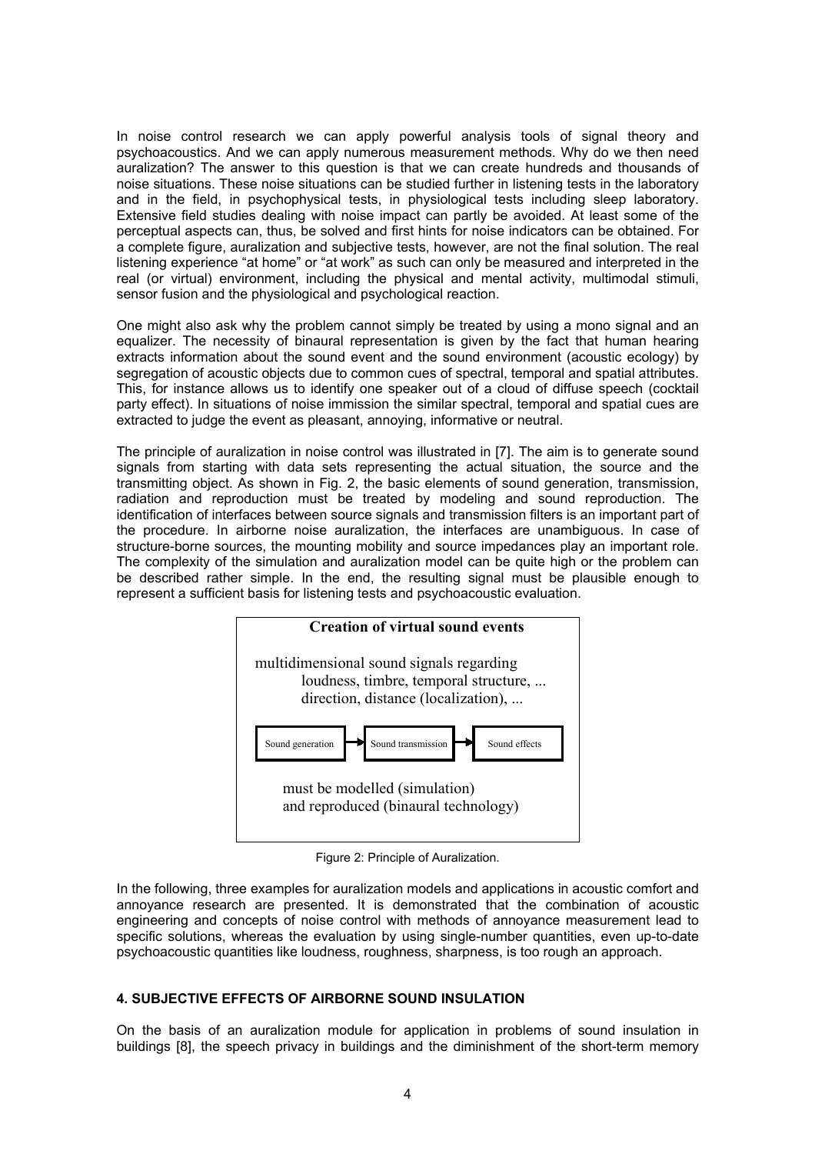In noise control research we can apply powerful analysis tools of signal theory and psychoacoustics. And we can apply numerous measurement methods. Why do we then need auralization? The answer to this question is that we can create hundreds and thousands of noise situations. These noise situations can be studied further in listening tests in the laboratory and in the field, in psychophysical tests, in physiological tests including sleep laboratory. Extensive field studies dealing with noise impact can partly be avoided. At least some of the perceptual aspects can, thus, be solved and first hints for noise indicators can be obtained. For a complete figure, auralization and subjective tests, however, are not the final solution. The real listening experience "at home" or "at work" as such can only be measured and interpreted in the real (or virtual) environment, including the physical and mental activity, multimodal stimuli, sensor fusion and the physiological and psychological reaction.

One might also ask why the problem cannot simply be treated by using a mono signal and an equalizer. The necessity of binaural representation is given by the fact that human hearing extracts information about the sound event and the sound environment (acoustic ecology) by segregation of acoustic objects due to common cues of spectral, temporal and spatial attributes. This, for instance allows us to identify one speaker out of a cloud of diffuse speech (cocktail party effect). In situations of noise immission the similar spectral, temporal and spatial cues are extracted to judge the event as pleasant, annoying, informative or neutral.

The principle of auralization in noise control was illustrated in [7]. The aim is to generate sound signals from starting with data sets representing the actual situation, the source and the transmitting object. As shown in Fig. 2, the basic elements of sound generation, transmission, radiation and reproduction must be treated by modeling and sound reproduction. The identification of interfaces between source signals and transmission filters is an important part of the procedure. In airborne noise auralization, the interfaces are unambiguous. In case of structure-borne sources, the mounting mobility and source impedances play an important role. The complexity of the simulation and auralization model can be quite high or the problem can be described rather simple. In the end, the resulting signal must be plausible enough to represent a sufficient basis for listening tests and psychoacoustic evaluation.



Figure 2: Principle of Auralization.

In the following, three examples for auralization models and applications in acoustic comfort and annoyance research are presented. It is demonstrated that the combination of acoustic engineering and concepts of noise control with methods of annoyance measurement lead to specific solutions, whereas the evaluation by using single-number quantities, even up-to-date psychoacoustic quantities like loudness, roughness, sharpness, is too rough an approach.

# **4. SUBJECTIVE EFFECTS OF AIRBORNE SOUND INSULATION**

On the basis of an auralization module for application in problems of sound insulation in buildings [8], the speech privacy in buildings and the diminishment of the short-term memory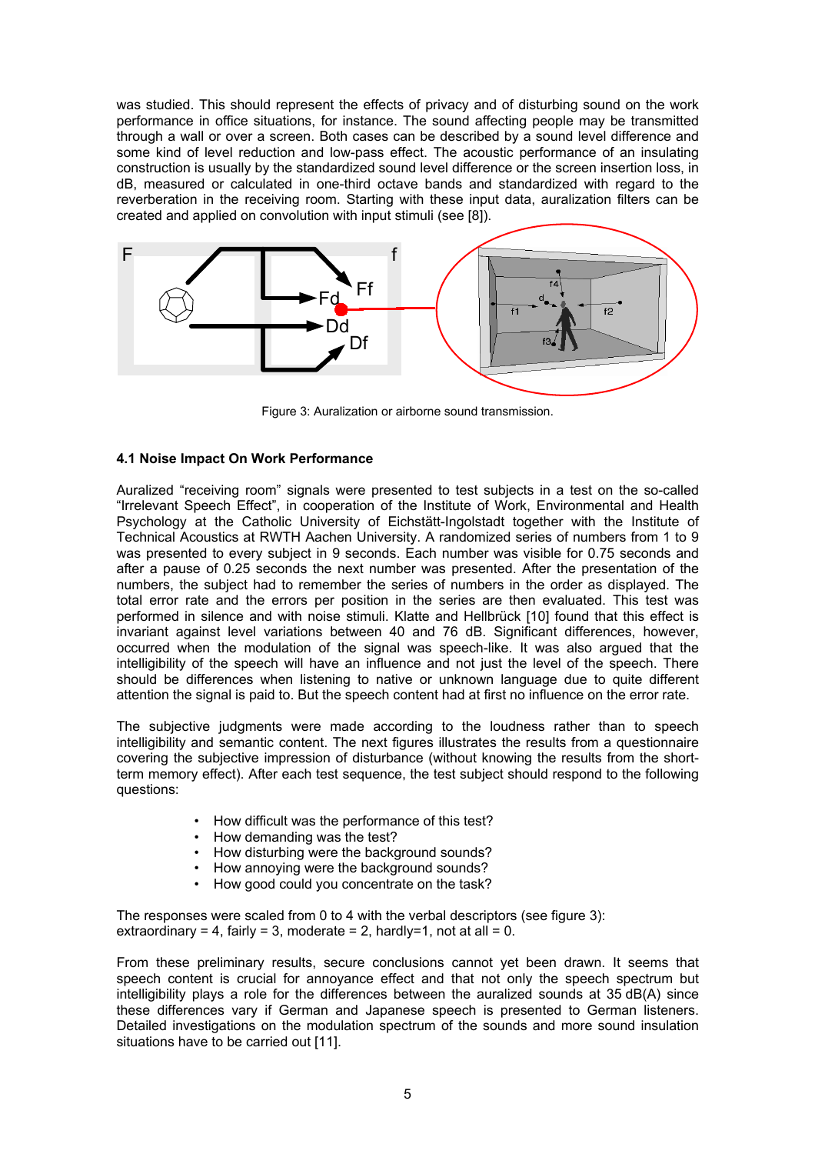was studied. This should represent the effects of privacy and of disturbing sound on the work performance in office situations, for instance. The sound affecting people may be transmitted through a wall or over a screen. Both cases can be described by a sound level difference and some kind of level reduction and low-pass effect. The acoustic performance of an insulating construction is usually by the standardized sound level difference or the screen insertion loss, in dB, measured or calculated in one-third octave bands and standardized with regard to the reverberation in the receiving room. Starting with these input data, auralization filters can be created and applied on convolution with input stimuli (see [8]).



Figure 3: Auralization or airborne sound transmission.

#### **4.1 Noise Impact On Work Performance**

Auralized "receiving room" signals were presented to test subjects in a test on the so-called "Irrelevant Speech Effect", in cooperation of the Institute of Work, Environmental and Health Psychology at the Catholic University of Eichstätt-Ingolstadt together with the Institute of Technical Acoustics at RWTH Aachen University. A randomized series of numbers from 1 to 9 was presented to every subject in 9 seconds. Each number was visible for 0.75 seconds and after a pause of 0.25 seconds the next number was presented. After the presentation of the numbers, the subject had to remember the series of numbers in the order as displayed. The total error rate and the errors per position in the series are then evaluated. This test was performed in silence and with noise stimuli. Klatte and Hellbrück [10] found that this effect is invariant against level variations between 40 and 76 dB. Significant differences, however, occurred when the modulation of the signal was speech-like. It was also argued that the intelligibility of the speech will have an influence and not just the level of the speech. There should be differences when listening to native or unknown language due to quite different attention the signal is paid to. But the speech content had at first no influence on the error rate.

The subjective judgments were made according to the loudness rather than to speech intelligibility and semantic content. The next figures illustrates the results from a questionnaire covering the subjective impression of disturbance (without knowing the results from the shortterm memory effect). After each test sequence, the test subject should respond to the following questions:

- How difficult was the performance of this test?
- How demanding was the test?
- How disturbing were the background sounds?
- How annoying were the background sounds?<br>• How good could you concentrate on the task?
- How good could you concentrate on the task?

The responses were scaled from 0 to 4 with the verbal descriptors (see figure 3): extraordinary = 4, fairly = 3, moderate = 2, hardly=1, not at all = 0.

From these preliminary results, secure conclusions cannot yet been drawn. It seems that speech content is crucial for annoyance effect and that not only the speech spectrum but intelligibility plays a role for the differences between the auralized sounds at 35 dB(A) since these differences vary if German and Japanese speech is presented to German listeners. Detailed investigations on the modulation spectrum of the sounds and more sound insulation situations have to be carried out [11].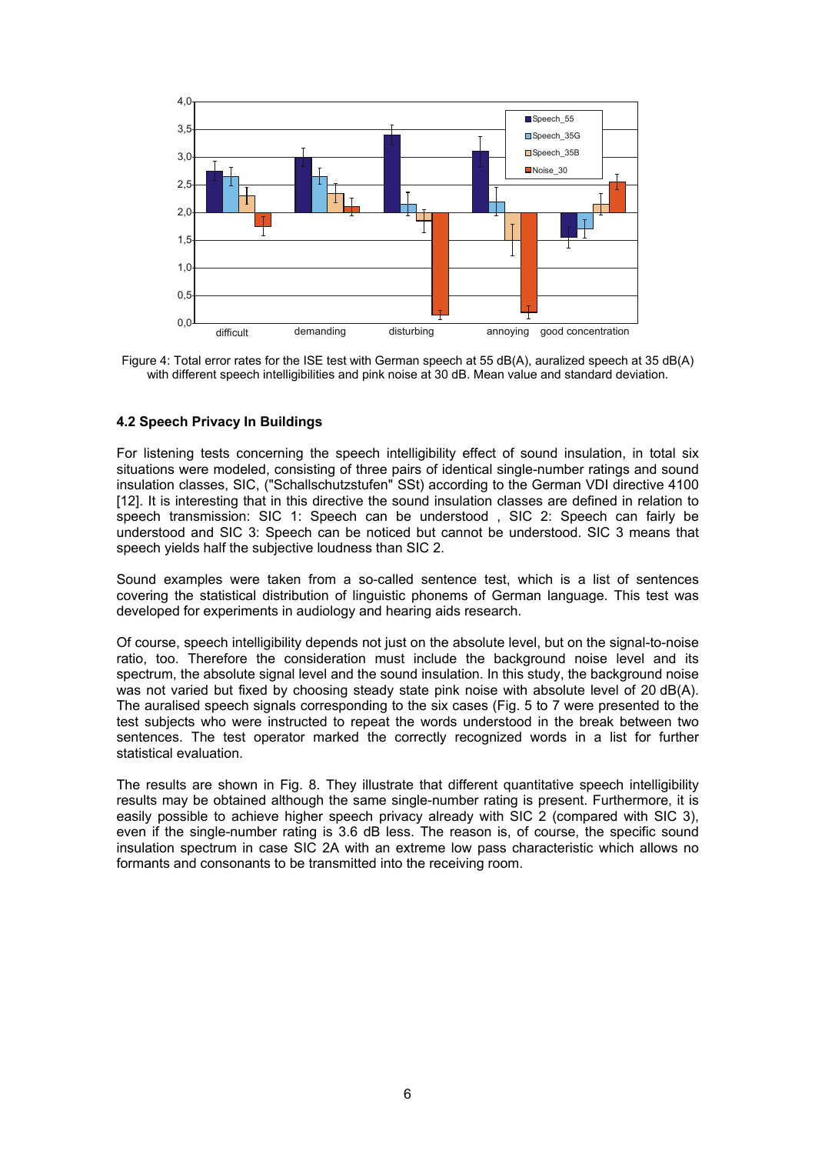

Figure 4: Total error rates for the ISE test with German speech at 55 dB(A), auralized speech at 35 dB(A) with different speech intelligibilities and pink noise at 30 dB. Mean value and standard deviation.

# **4.2 Speech Privacy In Buildings**

For listening tests concerning the speech intelligibility effect of sound insulation, in total six situations were modeled, consisting of three pairs of identical single-number ratings and sound insulation classes, SIC, ("Schallschutzstufen" SSt) according to the German VDI directive 4100 [12]. It is interesting that in this directive the sound insulation classes are defined in relation to speech transmission: SIC 1: Speech can be understood , SIC 2: Speech can fairly be understood and SIC 3: Speech can be noticed but cannot be understood. SIC 3 means that speech yields half the subjective loudness than SIC 2.

Sound examples were taken from a so-called sentence test, which is a list of sentences covering the statistical distribution of linguistic phonems of German language. This test was developed for experiments in audiology and hearing aids research.

Of course, speech intelligibility depends not just on the absolute level, but on the signal-to-noise ratio, too. Therefore the consideration must include the background noise level and its spectrum, the absolute signal level and the sound insulation. In this study, the background noise was not varied but fixed by choosing steady state pink noise with absolute level of 20 dB(A). The auralised speech signals corresponding to the six cases (Fig. 5 to 7 were presented to the test subjects who were instructed to repeat the words understood in the break between two sentences. The test operator marked the correctly recognized words in a list for further statistical evaluation.

The results are shown in Fig. 8. They illustrate that different quantitative speech intelligibility results may be obtained although the same single-number rating is present. Furthermore, it is easily possible to achieve higher speech privacy already with SIC 2 (compared with SIC 3), even if the single-number rating is 3.6 dB less. The reason is, of course, the specific sound insulation spectrum in case SIC 2A with an extreme low pass characteristic which allows no formants and consonants to be transmitted into the receiving room.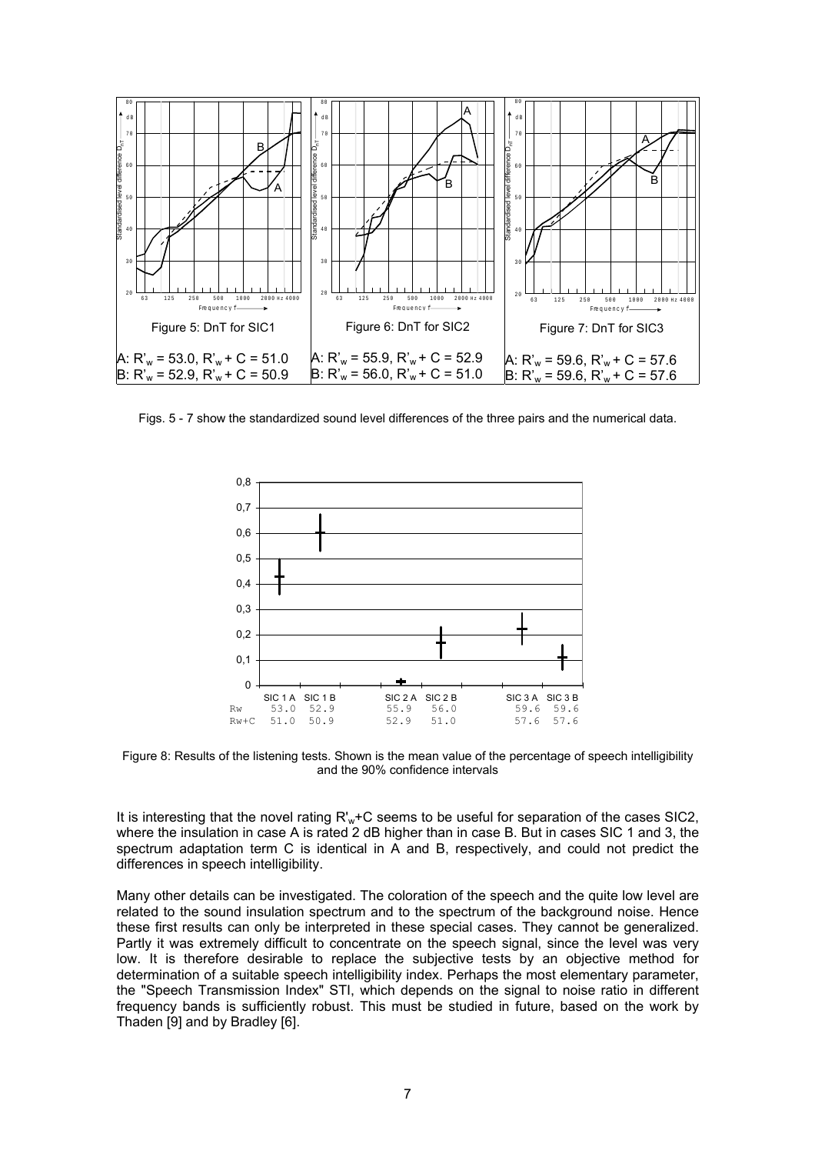

Figs. 5 - 7 show the standardized sound level differences of the three pairs and the numerical data.



Figure 8: Results of the listening tests. Shown is the mean value of the percentage of speech intelligibility and the 90% confidence intervals

It is interesting that the novel rating R'<sub>w</sub>+C seems to be useful for separation of the cases SIC2, where the insulation in case A is rated 2 dB higher than in case B. But in cases SIC 1 and 3, the spectrum adaptation term C is identical in A and B, respectively, and could not predict the differences in speech intelligibility.

Many other details can be investigated. The coloration of the speech and the quite low level are related to the sound insulation spectrum and to the spectrum of the background noise. Hence these first results can only be interpreted in these special cases. They cannot be generalized. Partly it was extremely difficult to concentrate on the speech signal, since the level was very low. It is therefore desirable to replace the subjective tests by an objective method for determination of a suitable speech intelligibility index. Perhaps the most elementary parameter, the "Speech Transmission Index" STI, which depends on the signal to noise ratio in different frequency bands is sufficiently robust. This must be studied in future, based on the work by Thaden [9] and by Bradley [6].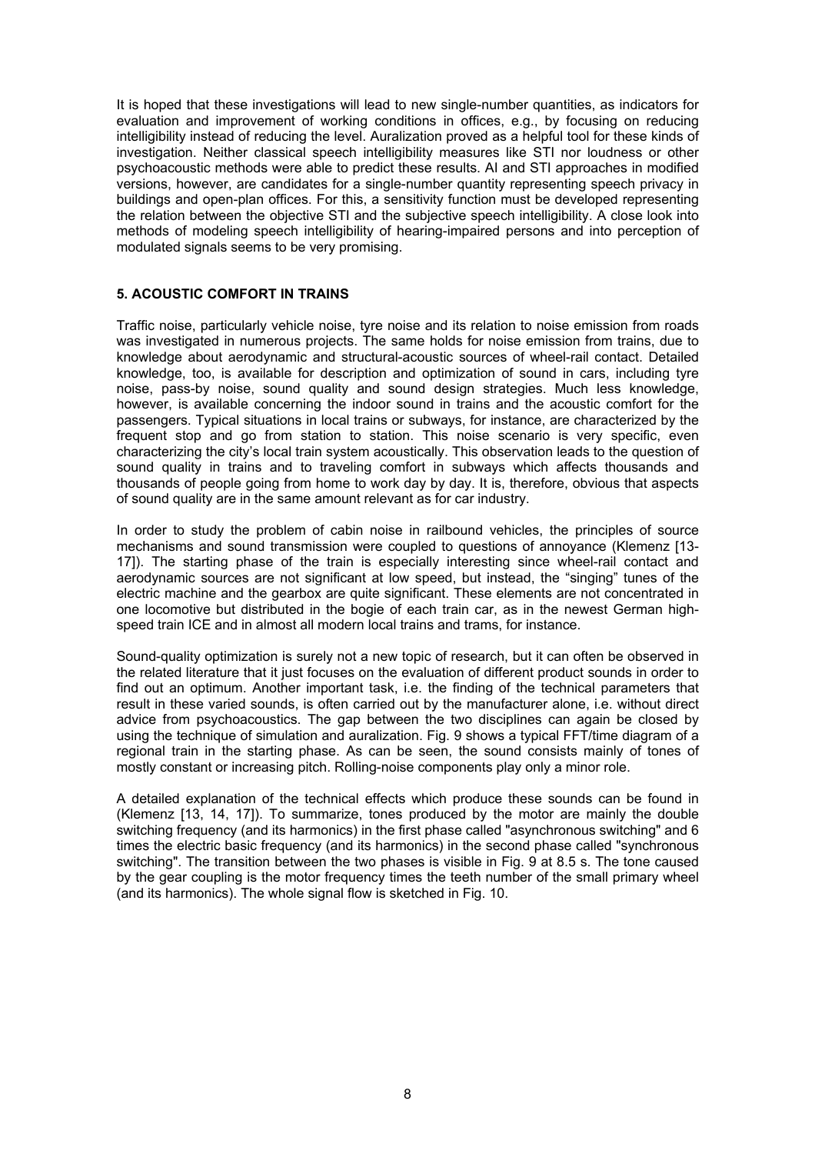It is hoped that these investigations will lead to new single-number quantities, as indicators for evaluation and improvement of working conditions in offices, e.g., by focusing on reducing intelligibility instead of reducing the level. Auralization proved as a helpful tool for these kinds of investigation. Neither classical speech intelligibility measures like STI nor loudness or other psychoacoustic methods were able to predict these results. AI and STI approaches in modified versions, however, are candidates for a single-number quantity representing speech privacy in buildings and open-plan offices. For this, a sensitivity function must be developed representing the relation between the objective STI and the subjective speech intelligibility. A close look into methods of modeling speech intelligibility of hearing-impaired persons and into perception of modulated signals seems to be very promising.

#### **5. ACOUSTIC COMFORT IN TRAINS**

Traffic noise, particularly vehicle noise, tyre noise and its relation to noise emission from roads was investigated in numerous projects. The same holds for noise emission from trains, due to knowledge about aerodynamic and structural-acoustic sources of wheel-rail contact. Detailed knowledge, too, is available for description and optimization of sound in cars, including tyre noise, pass-by noise, sound quality and sound design strategies. Much less knowledge, however, is available concerning the indoor sound in trains and the acoustic comfort for the passengers. Typical situations in local trains or subways, for instance, are characterized by the frequent stop and go from station to station. This noise scenario is very specific, even characterizing the city's local train system acoustically. This observation leads to the question of sound quality in trains and to traveling comfort in subways which affects thousands and thousands of people going from home to work day by day. It is, therefore, obvious that aspects of sound quality are in the same amount relevant as for car industry.

In order to study the problem of cabin noise in railbound vehicles, the principles of source mechanisms and sound transmission were coupled to questions of annoyance (Klemenz [13- 17]). The starting phase of the train is especially interesting since wheel-rail contact and aerodynamic sources are not significant at low speed, but instead, the "singing" tunes of the electric machine and the gearbox are quite significant. These elements are not concentrated in one locomotive but distributed in the bogie of each train car, as in the newest German highspeed train ICE and in almost all modern local trains and trams, for instance.

Sound-quality optimization is surely not a new topic of research, but it can often be observed in the related literature that it just focuses on the evaluation of different product sounds in order to find out an optimum. Another important task, i.e. the finding of the technical parameters that result in these varied sounds, is often carried out by the manufacturer alone, i.e. without direct advice from psychoacoustics. The gap between the two disciplines can again be closed by using the technique of simulation and auralization. Fig. 9 shows a typical FFT/time diagram of a regional train in the starting phase. As can be seen, the sound consists mainly of tones of mostly constant or increasing pitch. Rolling-noise components play only a minor role.

A detailed explanation of the technical effects which produce these sounds can be found in (Klemenz [13, 14, 17]). To summarize, tones produced by the motor are mainly the double switching frequency (and its harmonics) in the first phase called "asynchronous switching" and 6 times the electric basic frequency (and its harmonics) in the second phase called "synchronous switching". The transition between the two phases is visible in Fig. 9 at 8.5 s. The tone caused by the gear coupling is the motor frequency times the teeth number of the small primary wheel (and its harmonics). The whole signal flow is sketched in Fig. 10.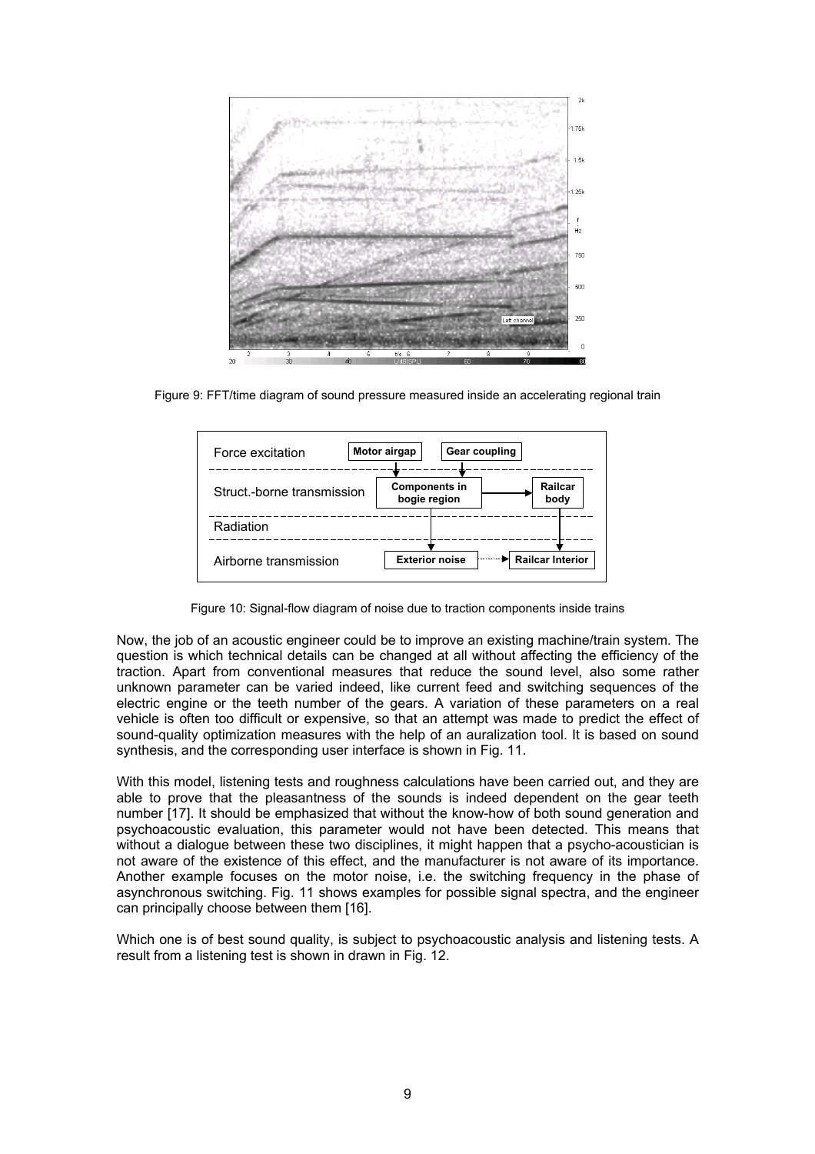

Figure 9: FFT/time diagram of sound pressure measured inside an accelerating regional train



Figure 10: Signal-flow diagram of noise due to traction components inside trains

Now, the job of an acoustic engineer could be to improve an existing machine/train system. The question is which technical details can be changed at all without affecting the efficiency of the traction. Apart from conventional measures that reduce the sound level, also some rather unknown parameter can be varied indeed, like current feed and switching sequences of the electric engine or the teeth number of the gears. A variation of these parameters on a real vehicle is often too difficult or expensive, so that an attempt was made to predict the effect of sound-quality optimization measures with the help of an auralization tool. It is based on sound synthesis, and the corresponding user interface is shown in Fig. 11.

With this model, listening tests and roughness calculations have been carried out, and they are able to prove that the pleasantness of the sounds is indeed dependent on the gear teeth number [17]. It should be emphasized that without the know-how of both sound generation and psychoacoustic evaluation, this parameter would not have been detected. This means that without a dialogue between these two disciplines, it might happen that a psycho-acoustician is not aware of the existence of this effect, and the manufacturer is not aware of its importance. Another example focuses on the motor noise, i.e. the switching frequency in the phase of asynchronous switching. Fig. 11 shows examples for possible signal spectra, and the engineer can principally choose between them [16].

Which one is of best sound quality, is subject to psychoacoustic analysis and listening tests. A result from a listening test is shown in drawn in Fig. 12.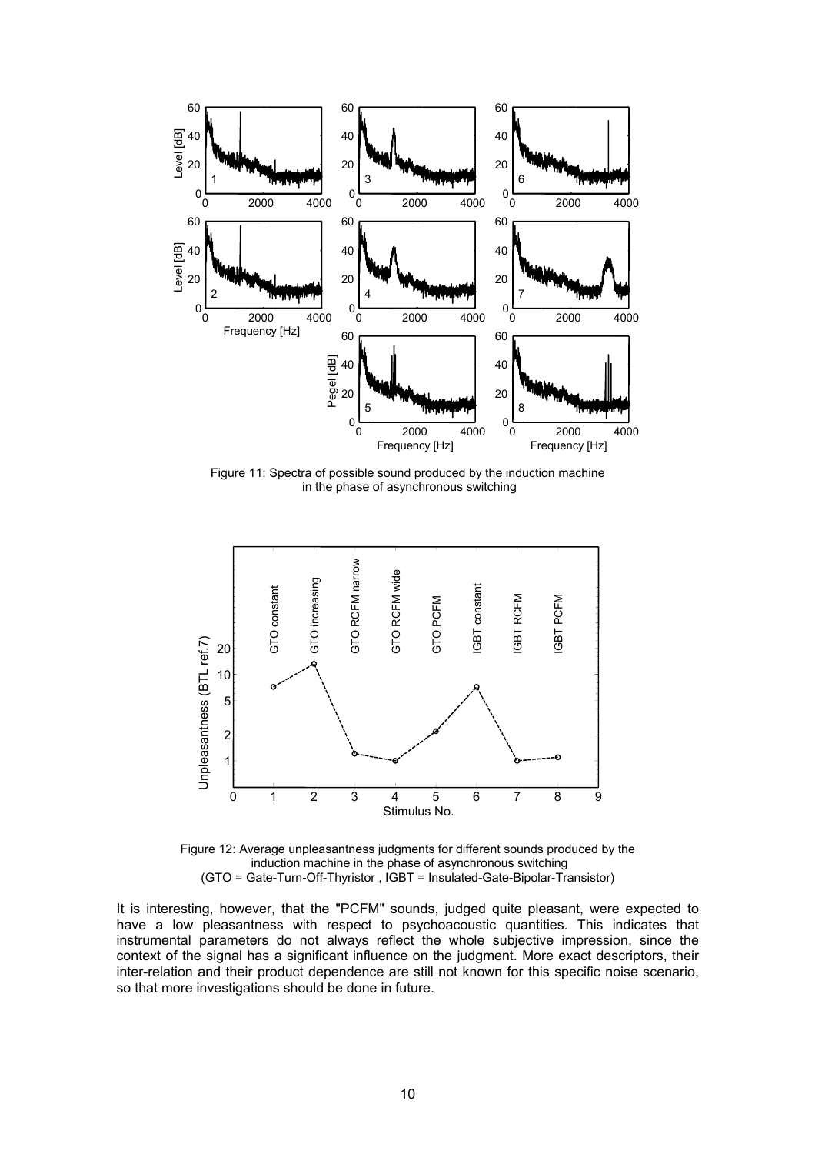

Figure 11: Spectra of possible sound produced by the induction machine in the phase of asynchronous switching



Figure 12: Average unpleasantness judgments for different sounds produced by the induction machine in the phase of asynchronous switching (GTO = Gate-Turn-Off-Thyristor , IGBT = Insulated-Gate-Bipolar-Transistor)

It is interesting, however, that the "PCFM" sounds, judged quite pleasant, were expected to have a low pleasantness with respect to psychoacoustic quantities. This indicates that instrumental parameters do not always reflect the whole subjective impression, since the context of the signal has a significant influence on the judgment. More exact descriptors, their inter-relation and their product dependence are still not known for this specific noise scenario, so that more investigations should be done in future.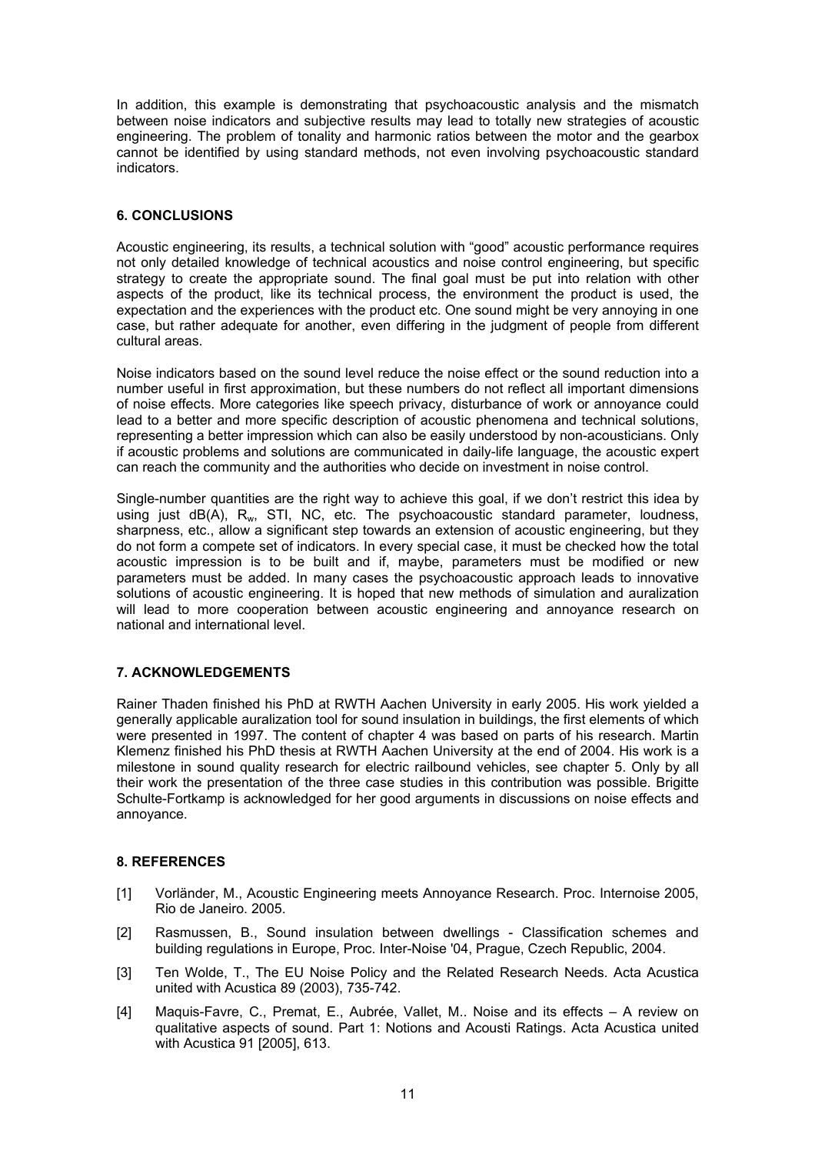In addition, this example is demonstrating that psychoacoustic analysis and the mismatch between noise indicators and subjective results may lead to totally new strategies of acoustic engineering. The problem of tonality and harmonic ratios between the motor and the gearbox cannot be identified by using standard methods, not even involving psychoacoustic standard indicators.

# **6. CONCLUSIONS**

Acoustic engineering, its results, a technical solution with "good" acoustic performance requires not only detailed knowledge of technical acoustics and noise control engineering, but specific strategy to create the appropriate sound. The final goal must be put into relation with other aspects of the product, like its technical process, the environment the product is used, the expectation and the experiences with the product etc. One sound might be very annoying in one case, but rather adequate for another, even differing in the judgment of people from different cultural areas.

Noise indicators based on the sound level reduce the noise effect or the sound reduction into a number useful in first approximation, but these numbers do not reflect all important dimensions of noise effects. More categories like speech privacy, disturbance of work or annoyance could lead to a better and more specific description of acoustic phenomena and technical solutions, representing a better impression which can also be easily understood by non-acousticians. Only if acoustic problems and solutions are communicated in daily-life language, the acoustic expert can reach the community and the authorities who decide on investment in noise control.

Single-number quantities are the right way to achieve this goal, if we don't restrict this idea by using just  $dB(A)$ ,  $R_w$ , STI, NC, etc. The psychoacoustic standard parameter, loudness, sharpness, etc., allow a significant step towards an extension of acoustic engineering, but they do not form a compete set of indicators. In every special case, it must be checked how the total acoustic impression is to be built and if, maybe, parameters must be modified or new parameters must be added. In many cases the psychoacoustic approach leads to innovative solutions of acoustic engineering. It is hoped that new methods of simulation and auralization will lead to more cooperation between acoustic engineering and annoyance research on national and international level.

# **7. ACKNOWLEDGEMENTS**

Rainer Thaden finished his PhD at RWTH Aachen University in early 2005. His work yielded a generally applicable auralization tool for sound insulation in buildings, the first elements of which were presented in 1997. The content of chapter 4 was based on parts of his research. Martin Klemenz finished his PhD thesis at RWTH Aachen University at the end of 2004. His work is a milestone in sound quality research for electric railbound vehicles, see chapter 5. Only by all their work the presentation of the three case studies in this contribution was possible. Brigitte Schulte-Fortkamp is acknowledged for her good arguments in discussions on noise effects and annoyance.

# **8. REFERENCES**

- [1] Vorländer, M., Acoustic Engineering meets Annoyance Research. Proc. Internoise 2005, Rio de Janeiro. 2005.
- [2] Rasmussen, B., Sound insulation between dwellings Classification schemes and building regulations in Europe, Proc. Inter-Noise '04, Prague, Czech Republic, 2004.
- [3] Ten Wolde, T., The EU Noise Policy and the Related Research Needs. Acta Acustica united with Acustica 89 (2003), 735-742.
- [4] Maquis-Favre, C., Premat, E., Aubrée, Vallet, M.. Noise and its effects A review on qualitative aspects of sound. Part 1: Notions and Acousti Ratings. Acta Acustica united with Acustica 91 [2005], 613.